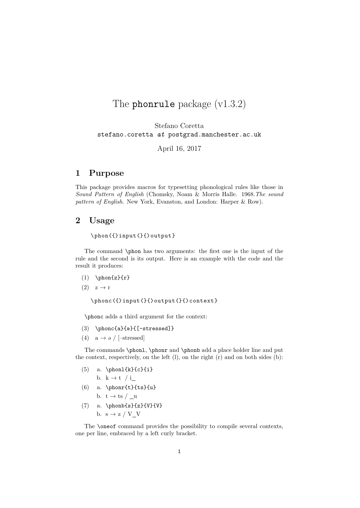# The phonrule package (v1.3.2)

Stefano Coretta stefano.coretta *at* postgrad.manchester.ac.uk

April 16, 2017

# **1 Purpose**

This package provides macros for typesetting phonological rules like those in *Sound Pattern of English* (Chomsky, Noam & Morris Halle. 1968.*The sound pattern of English*. New York, Evanston, and London: Harper & Row).

# **2 Usage**

\phon〈{〉input〈}{〉output}

The command \phon has two arguments: the first one is the input of the rule and the second is its output. Here is an example with the code and the result it produces:

- $(1)$  \phon{z}{r}
- $(2)$   $z \rightarrow r$

\phonc〈{〉input〈}{〉output〈}{〉context}

\phonc adds a third argument for the context:

- $(3)$  \phonc{a}{ $\Theta$ }{[-stressed]}
- (4)  $a \rightarrow a$  / [–stressed]

The commands \phonl, \phonr and \phonb add a place holder line and put the context, respectively, on the left  $(l)$ , on the right  $(r)$  and on both sides  $(b)$ :

- $(5)$  a. \phonl{k}{c}{i}
- b.  $k \rightarrow t / i$
- (6) a.  $\phi(t)$  a.  $\phi(t)$ b.  $t \rightarrow ts / \underline{u}$
- (7) a.  $\phi{s}{z}{W}{V}$ b.  $s \rightarrow z / V$  V

The \oneof command provides the possibility to compile several contexts, one per line, embraced by a left curly bracket.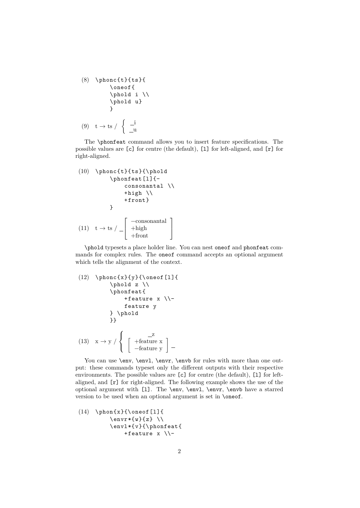$(8)$  \phonc{t}{ts}{ \oneof{ \phold i \\ \phold u}  $\lambda$  $(9)$  t  $\rightarrow$  ts /  $\int_{a}$   $\frac{1}{a}$ u

The \phonfeat command allows you to insert feature specifications. The possible values are [c] for centre (the default), [l] for left-aligned, and [r] for right-aligned.

(10) \n
$$
\rho(t) {\mathbf{t} s} {\n 0 }\n} \n \n \rho(t) {\n 0 }\n \rho(t) {\n 0 }\n \n + \rho(t) {\n 1 }\n \n + \rho(t) {\n 1 }\n}
$$
\n(11) \n
$$
t \rightarrow ts / - \begin{bmatrix} -\text{constant} \\ +\text{input} \\ +\text{front} \end{bmatrix}
$$

\phold typesets a place holder line. You can nest oneof and phonfeat commands for complex rules. The oneof command accepts an optional argument which tells the alignment of the context.

(12) \n
$$
\rho c\{x\}\{y\}\{\\rho \neq 0\}
$$
\n
$$
\rho d z \ \setminus
$$
\n
$$
\rho f = 1 \ \rho f
$$
\n
$$
\rho f = 1 \ \rho f
$$
\n
$$
\rho f = 1 \ \rho f
$$
\n
$$
\rho f = 1 \ \rho f
$$
\n
$$
\rho f = 1 \ \rho f
$$
\n
$$
\rho f = 1 \ \rho f
$$
\n
$$
\rho f = 1 \ \rho f
$$
\n
$$
\rho f = 1 \ \rho f
$$
\n
$$
\rho f = 1 \ \rho f
$$
\n
$$
\rho f = 1 \ \rho f
$$
\n
$$
\rho f = 1 \ \rho f
$$
\n
$$
\rho f = 1 \ \rho f
$$
\n
$$
\rho f = 1 \ \rho f
$$
\n
$$
\rho f = 1 \ \rho f
$$
\n
$$
\rho f = 1 \ \rho f
$$
\n
$$
\rho f = 1 \ \rho f
$$
\n
$$
\rho f = 1 \ \rho f
$$
\n
$$
\rho f = 1 \ \rho f
$$
\n
$$
\rho f = 1 \ \rho f
$$
\n
$$
\rho f = 1 \ \rho f
$$
\n
$$
\rho f = 1 \ \rho f
$$
\n
$$
\rho f = 1 \ \rho f
$$
\n
$$
\rho f = 1 \ \rho f
$$
\n
$$
\rho f = 1 \ \rho f
$$
\n
$$
\rho f = 1 \ \rho f
$$
\n
$$
\rho f = 1 \ \rho f
$$
\n
$$
\rho f = 1 \ \rho f
$$
\n
$$
\rho f = 1 \ \rho f
$$
\n
$$
\rho f = 1 \ \rho f
$$
\n
$$
\rho f = 1 \ \rho f
$$
\n
$$
\rho f = 1 \ \rho f
$$
\n
$$
\rho f = 1 \ \rho f
$$
\n
$$
\rho f = 1 \ \rho f
$$
\n
$$
\rho f = 1 \ \rho f
$$
\n
$$
\rho f = 1 \ \rho f
$$
\n
$$
\rho f = 1 \ \rho f
$$
\n
$$
\rho f = 1 \ \rho f
$$
\n
$$
\rho f =
$$

You can use **\env, \envl, \envr, \envb** for rules with more than one output: these commands typeset only the different outputs with their respective environments. The possible values are  $[c]$  for centre (the default),  $[1]$  for leftaligned, and [r] for right-aligned. The following example shows the use of the optional argument with [l]. The \env, \envl, \envr, \envb have a starred version to be used when an optional argument is set in \oneof.

(14) \phon{x}{\oneof[l]{ \envr\*{w}{z} \\ \envl\*{v}{\phonfeat{ +feature x \\−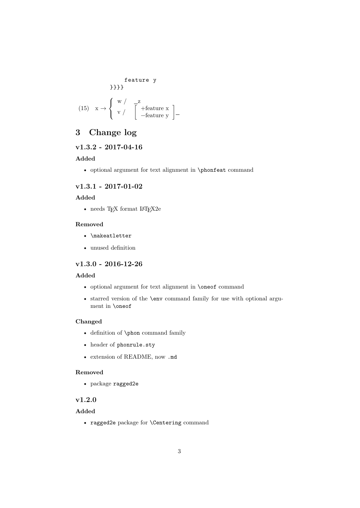feature y  
\n
$$
\{\n\begin{array}{c}\n\text{feature } y \\
\text{+} \\
\text{0: } x \to \begin{cases}\n\text{w} / \text{ } \begin{array}{c}\n\text{z} \\
\text{v} / \text{ } \end{array} \\
\text{[} \\
\text{[} \\
\text{[} \\
\text{[} \\
\text{[} \\
\text{[} \\
\text{[} \\
\text{[} \\
\text{[} \\
\text{[} \\
\text{[} \\
\text{[} \\
\text{[} \\
\text{[} \\
\text{[} \\
\text{[} \\
\text{[} \\
\text{[} \\
\text{[} \\
\text{[} \\
\text{[} \\
\text{[} \\
\text{[} \\
\text{[} \\
\text{[} \\
\text{[} \\
\text{[} \\
\text{[} \\
\text{[} \\
\text{[} \\
\text{[} \\
\text{[} \\
\text{[} \\
\text{[} \\
\text{[} \\
\text{[} \\
\text{[} \\
\text{[} \\
\text{[} \\
\text{[} \\
\text{[} \\
\text{[} \\
\text{[} \\
\text{[} \\
\text{[} \\
\text{[} \\
\text{[} \\
\text{[} \\
\text{[} \\
\text{[} \\
\text{[} \\
\text{[} \\
\text{[} \\
\text{[} \\
\text{[} \\
\text{[} \\
\text{[} \\
\text{[} \\
\text{[} \\
\text{[} \\
\text{[} \\
\text{[} \\
\text{[} \\
\text{[} \\
\text{[} \\
\text{[} \\
\text{[} \\
\text{[} \\
\text{[} \\
\text{[} \\
\text{[} \\
\text{[} \\
\text{[} \\
\text{[} \\
\text{[} \\
\text{[} \\
\text{[} \\
\text{[} \\
\text{[} \\
\text{[} \\
\text{[} \\
\text{[} \\
\text{[} \\
\text{[} \\
\text{[} \\
\text{[} \\
\text{[} \\
\text{[} \\
\text{[} \\
\text{[} \\
\text{[} \\
\text{[} \\
\text{[} \\
\text{[} \\
\text{[} \\
\text{[} \\
\text{[} \\
\text{[} \\
\text{[} \\
\text{[} \\
\text{[} \\
\text{[} \\
\text{[} \\
\text{[} \\
\text{[} \\
\text{[} \\
\text{[} \\
\text{[} \\
\text{[} \\
\text{[} \\
\text{[} \\
\text{[} \\
\text{[
$$

# **3 Change log**

## **v1.3.2 - 2017-04-16**

#### **Added**

• optional argument for text alignment in \phonfeat command

#### **v1.3.1 - 2017-01-02**

#### **Added**

• needs T<sub>E</sub>X format L<sup>AT</sup>E<sup>X2e</sup>

#### **Removed**

- \makeatletter
- unused definition

# **v1.3.0 - 2016-12-26**

#### **Added**

- optional argument for text alignment in \oneof command
- starred version of the \env command family for use with optional argument in \oneof

#### **Changed**

- definition of \phon command family
- header of phonrule.sty
- extension of README, now .md

#### **Removed**

• package ragged2e

## **v1.2.0**

#### **Added**

• ragged2e package for \Centering command